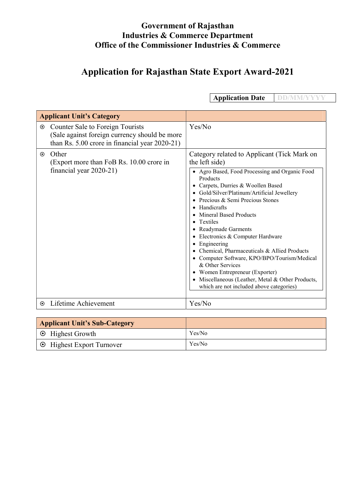# Application for Rajasthan State Export Award-2021

Applicant Unit's Category Counter Sale to Foreign Tourists (Sale against foreign currency should be more than Rs. 5.00 crore in financial year 2020-21) Yes/No  $\odot$  Other (Export more than FoB Rs. 10.00 crore in financial year 2020-21) Category related to Applicant (Tick Mark on the left side) Agro Based, Food Processing and Organic Food Products Carpets, Durries & Woollen Based Gold/Silver/Platinum/Artificial Jewellery • Precious & Semi Precious Stones • Handicrafts Mineral Based Products • Textiles Readymade Garments • Electronics & Computer Hardware • Engineering • Chemical, Pharmaceuticals & Allied Products Computer Software, KPO/BPO/Tourism/Medical & Other Services Women Entrepreneur (Exporter) • Miscellaneous (Leather, Metal & Other Products, which are not included above categories) Lifetime Achievement Yes/No

| <b>Applicant Unit's Sub-Category</b> |        |
|--------------------------------------|--------|
| $\Theta$ Highest Growth              | Yes/No |
| $\odot$ Highest Export Turnover      | Yes/No |

Application Date DD/MM/YYYY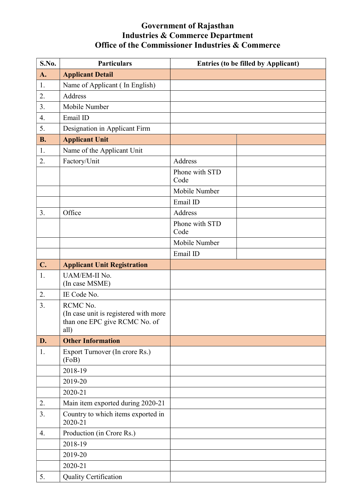| S.No.     | <b>Particulars</b>                                                                         | <b>Entries (to be filled by Applicant)</b> |  |
|-----------|--------------------------------------------------------------------------------------------|--------------------------------------------|--|
| A.        | <b>Applicant Detail</b>                                                                    |                                            |  |
| 1.        | Name of Applicant (In English)                                                             |                                            |  |
| 2.        | Address                                                                                    |                                            |  |
| 3.        | Mobile Number                                                                              |                                            |  |
| 4.        | Email ID                                                                                   |                                            |  |
| 5.        | Designation in Applicant Firm                                                              |                                            |  |
| <b>B.</b> | <b>Applicant Unit</b>                                                                      |                                            |  |
| 1.        | Name of the Applicant Unit                                                                 |                                            |  |
| 2.        | Factory/Unit                                                                               | Address                                    |  |
|           |                                                                                            | Phone with STD<br>Code                     |  |
|           |                                                                                            | Mobile Number                              |  |
|           |                                                                                            | Email ID                                   |  |
| 3.        | Office                                                                                     | Address                                    |  |
|           |                                                                                            | Phone with STD<br>Code                     |  |
|           |                                                                                            | Mobile Number                              |  |
|           |                                                                                            | Email ID                                   |  |
| C.        | <b>Applicant Unit Registration</b>                                                         |                                            |  |
| 1.        | UAM/EM-II No.<br>(In case MSME)                                                            |                                            |  |
| 2.        | IE Code No.                                                                                |                                            |  |
| 3.        | RCMC No.<br>(In case unit is registered with more<br>than one EPC give RCMC No. of<br>all) |                                            |  |
| D.        | <b>Other Information</b>                                                                   |                                            |  |
| 1.        | Export Turnover (In crore Rs.)<br>(FoB)                                                    |                                            |  |
|           | 2018-19                                                                                    |                                            |  |
|           | 2019-20                                                                                    |                                            |  |
|           | 2020-21                                                                                    |                                            |  |
| 2.        | Main item exported during 2020-21                                                          |                                            |  |
| 3.        | Country to which items exported in<br>2020-21                                              |                                            |  |
| 4.        | Production (in Crore Rs.)                                                                  |                                            |  |
|           | 2018-19                                                                                    |                                            |  |
|           | 2019-20                                                                                    |                                            |  |
|           | 2020-21                                                                                    |                                            |  |
| 5.        | <b>Quality Certification</b>                                                               |                                            |  |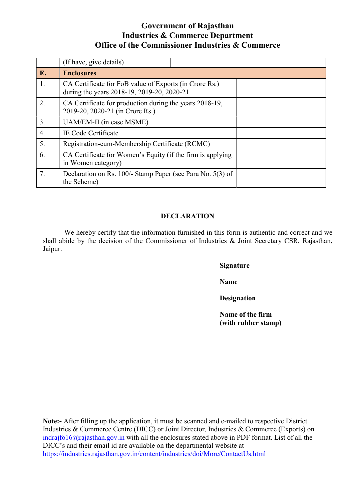|    | (If have, give details)                                                                              |  |  |
|----|------------------------------------------------------------------------------------------------------|--|--|
| E. | <b>Enclosures</b>                                                                                    |  |  |
| 1. | CA Certificate for FoB value of Exports (in Crore Rs.)<br>during the years 2018-19, 2019-20, 2020-21 |  |  |
| 2. | CA Certificate for production during the years 2018-19,<br>2019-20, 2020-21 (in Crore Rs.)           |  |  |
| 3. | UAM/EM-II (in case MSME)                                                                             |  |  |
| 4. | IE Code Certificate                                                                                  |  |  |
| 5. | Registration-cum-Membership Certificate (RCMC)                                                       |  |  |
| 6. | CA Certificate for Women's Equity (if the firm is applying<br>in Women category)                     |  |  |
| 7. | Declaration on Rs. 100/- Stamp Paper (see Para No. 5(3) of<br>the Scheme)                            |  |  |

### DECLARATION

We hereby certify that the information furnished in this form is authentic and correct and we shall abide by the decision of the Commissioner of Industries & Joint Secretary CSR, Rajasthan, Jaipur.

Signature

Name

**Designation** 

Name of the firm (with rubber stamp)

Note:- After filling up the application, it must be scanned and e-mailed to respective District Industries & Commerce Centre (DICC) or Joint Director, Industries & Commerce (Exports) on indrajfo16@rajasthan.gov.in with all the enclosures stated above in PDF format. List of all the DICC's and their email id are available on the departmental website at https://industries.rajasthan.gov.in/content/industries/doi/More/ContactUs.html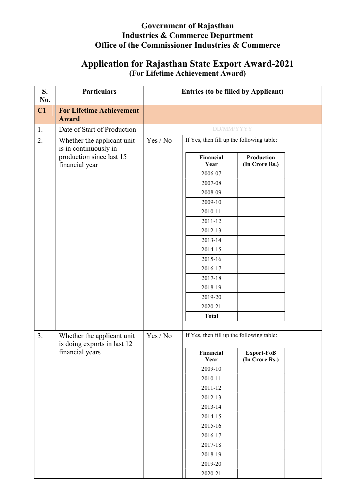# Application for Rajasthan State Export Award-2021 (For Lifetime Achievement Award)

| S.<br>No. | <b>Particulars</b>                                                                                | <b>Entries (to be filled by Applicant)</b>                                                                                                                                                                                                     |  |  |
|-----------|---------------------------------------------------------------------------------------------------|------------------------------------------------------------------------------------------------------------------------------------------------------------------------------------------------------------------------------------------------|--|--|
| C1        | <b>For Lifetime Achievement</b><br><b>Award</b>                                                   |                                                                                                                                                                                                                                                |  |  |
| 1.        | Date of Start of Production                                                                       | <b>DD/MM/YYYY</b>                                                                                                                                                                                                                              |  |  |
| 2.        | Whether the applicant unit<br>is in continuously in<br>production since last 15<br>financial year | If Yes, then fill up the following table:<br>Yes / No<br>Financial<br>Production<br>(In Crore Rs.)<br>Year<br>2006-07<br>2007-08<br>2008-09<br>2009-10                                                                                         |  |  |
|           |                                                                                                   | 2010-11<br>2011-12<br>2012-13<br>2013-14<br>2014-15<br>2015-16<br>2016-17<br>2017-18<br>2018-19<br>2019-20<br>2020-21<br><b>Total</b>                                                                                                          |  |  |
| 3.        | Whether the applicant unit<br>is doing exports in last 12<br>financial years                      | If Yes, then fill up the following table:<br>Yes / No<br>Export-FoB<br>Financial<br>(In Crore Rs.)<br>Year<br>2009-10<br>2010-11<br>2011-12<br>2012-13<br>2013-14<br>2014-15<br>2015-16<br>2016-17<br>2017-18<br>2018-19<br>2019-20<br>2020-21 |  |  |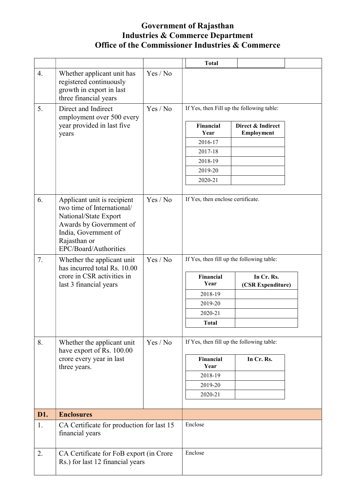|     |                                                                                                                                                                                |          | <b>Total</b>                              |                                 |  |
|-----|--------------------------------------------------------------------------------------------------------------------------------------------------------------------------------|----------|-------------------------------------------|---------------------------------|--|
| 4.  | Whether applicant unit has<br>registered continuously<br>growth in export in last<br>three financial years                                                                     | Yes / No |                                           |                                 |  |
| 5.  | Direct and Indirect<br>employment over 500 every<br>year provided in last five<br>years                                                                                        | Yes / No | If Yes, then Fill up the following table: |                                 |  |
|     |                                                                                                                                                                                |          | Financial<br>Year                         | Direct & Indirect<br>Employment |  |
|     |                                                                                                                                                                                |          | 2016-17                                   |                                 |  |
|     |                                                                                                                                                                                |          | 2017-18                                   |                                 |  |
|     |                                                                                                                                                                                |          | 2018-19                                   |                                 |  |
|     |                                                                                                                                                                                |          | 2019-20                                   |                                 |  |
|     |                                                                                                                                                                                |          | 2020-21                                   |                                 |  |
| 6.  | Applicant unit is recipient<br>two time of International/<br>National/State Export<br>Awards by Government of<br>India, Government of<br>Rajasthan or<br>EPC/Board/Authorities | Yes / No | If Yes, then enclose certificate.         |                                 |  |
| 7.  | Whether the applicant unit<br>has incurred total Rs. 10.00<br>crore in CSR activities in<br>last 3 financial years                                                             | Yes / No | If Yes, then fill up the following table: |                                 |  |
|     |                                                                                                                                                                                |          | Financial<br>Year                         | In Cr. Rs.<br>(CSR Expenditure) |  |
|     |                                                                                                                                                                                |          | 2018-19                                   |                                 |  |
|     |                                                                                                                                                                                |          | 2019-20                                   |                                 |  |
|     |                                                                                                                                                                                |          | 2020-21                                   |                                 |  |
|     |                                                                                                                                                                                |          | <b>Total</b>                              |                                 |  |
| 8.  | Yes / No<br>Whether the applicant unit<br>have export of Rs. 100.00                                                                                                            |          | If Yes, then fill up the following table: |                                 |  |
|     | crore every year in last                                                                                                                                                       |          | Financial                                 | In Cr. Rs.                      |  |
|     | three years.                                                                                                                                                                   |          | Year<br>2018-19                           |                                 |  |
|     |                                                                                                                                                                                |          | 2019-20                                   |                                 |  |
|     |                                                                                                                                                                                |          | 2020-21                                   |                                 |  |
|     |                                                                                                                                                                                |          |                                           |                                 |  |
| D1. | <b>Enclosures</b>                                                                                                                                                              |          |                                           |                                 |  |
| 1.  | CA Certificate for production for last 15<br>financial years                                                                                                                   | Enclose  |                                           |                                 |  |
| 2.  | CA Certificate for FoB export (in Crore<br>Rs.) for last 12 financial years                                                                                                    |          | Enclose                                   |                                 |  |